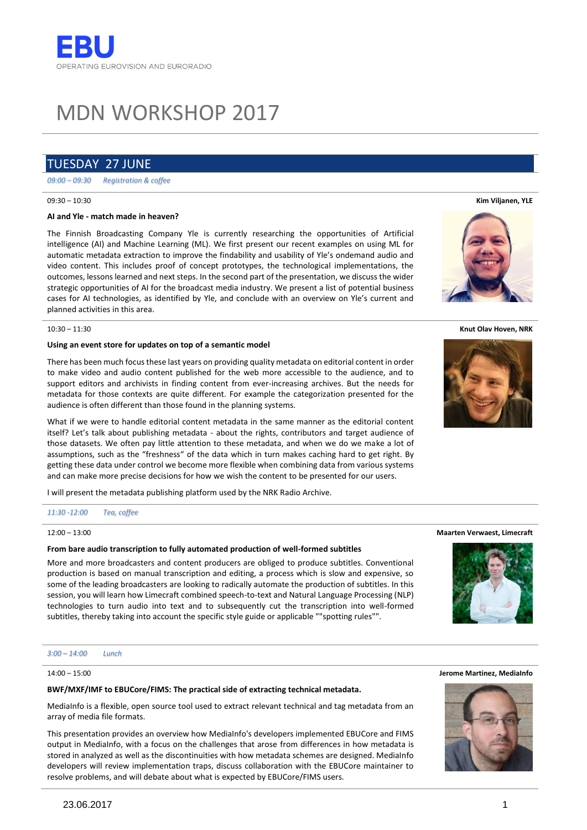# MDN WORKSHOP 2017

# TUESDAY 27 JUNE

*09:00 – 09:30 Registration & coffee*

## 09:30 – 10:30

# **AI and Yle - match made in heaven?**

The Finnish Broadcasting Company Yle is currently researching the opportunities of Artificial intelligence (AI) and Machine Learning (ML). We first present our recent examples on using ML for automatic metadata extraction to improve the findability and usability of Yle's ondemand audio and video content. This includes proof of concept prototypes, the technological implementations, the outcomes, lessons learned and next steps. In the second part of the presentation, we discuss the wider strategic opportunities of AI for the broadcast media industry. We present a list of potential business cases for AI technologies, as identified by Yle, and conclude with an overview on Yle's current and planned activities in this area.

10:30 – 11:30

# **Using an event store for updates on top of a semantic model**

There has been much focus these last years on providing quality metadata on editorial content in order to make video and audio content published for the web more accessible to the audience, and to support editors and archivists in finding content from ever-increasing archives. But the needs for metadata for those contexts are quite different. For example the categorization presented for the audience is often different than those found in the planning systems.

What if we were to handle editorial content metadata in the same manner as the editorial content itself? Let's talk about publishing metadata - about the rights, contributors and target audience of those datasets. We often pay little attention to these metadata, and when we do we make a lot of assumptions, such as the "freshness" of the data which in turn makes caching hard to get right. By getting these data under control we become more flexible when combining data from various systems and can make more precise decisions for how we wish the content to be presented for our users.

I will present the metadata publishing platform used by the NRK Radio Archive.

#### *11:30 -12:00 Tea, coffee*

#### $12:00 - 13:00$

# **From bare audio transcription to fully automated production of well-formed subtitles**

More and more broadcasters and content producers are obliged to produce subtitles. Conventional production is based on manual transcription and editing, a process which is slow and expensive, so some of the leading broadcasters are looking to radically automate the production of subtitles. In this session, you will learn how Limecraft combined speech-to-text and Natural Language Processing (NLP) technologies to turn audio into text and to subsequently cut the transcription into well-formed subtitles, thereby taking into account the specific style guide or applicable ""spotting rules"".

#### *3:00 – 14:00 Lunch*

# 14:00 – 15:00

# **BWF/MXF/IMF to EBUCore/FIMS: The practical side of extracting technical metadata.**

MediaInfo is a flexible, open source tool used to extract relevant technical and tag metadata from an array of media file formats.

This presentation provides an overview how MediaInfo's developers implemented EBUCore and FIMS output in MediaInfo, with a focus on the challenges that arose from differences in how metadata is stored in analyzed as well as the discontinuities with how metadata schemes are designed. MediaInfo developers will review implementation traps, discuss collaboration with the EBUCore maintainer to resolve problems, and will debate about what is expected by EBUCore/FIMS users.









**Maarten Verwaest, Limecraft**



#### **Jerome Martinez, MediaInfo**

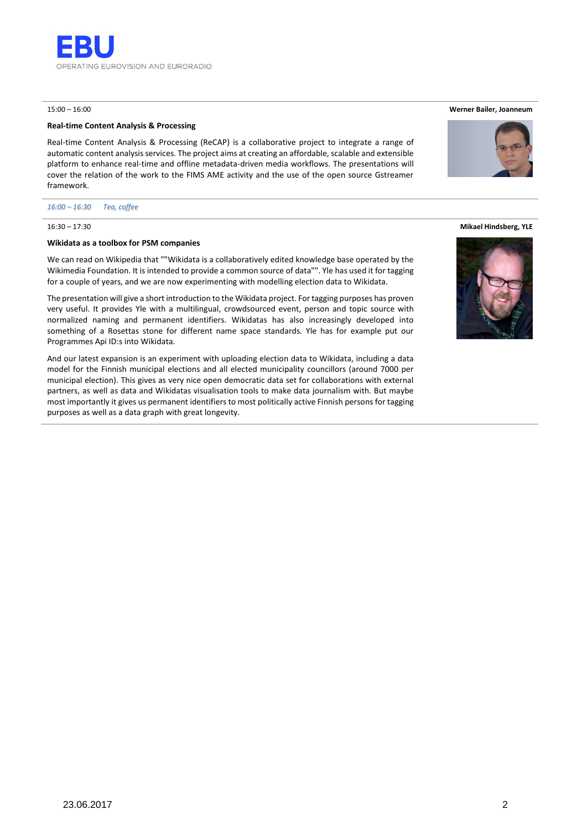

# 15:00 – 16:00

# **Real-time Content Analysis & Processing**

Real-time Content Analysis & Processing (ReCAP) is a collaborative project to integrate a range of automatic content analysis services. The project aims at creating an affordable, scalable and extensible platform to enhance real-time and offline metadata-driven media workflows. The presentations will cover the relation of the work to the FIMS AME activity and the use of the open source Gstreamer framework.

#### *16:00 – 16:30 Tea, coffee*

# 16:30 – 17:30

# **Wikidata as a toolbox for PSM companies**

We can read on Wikipedia that ""Wikidata is a collaboratively edited knowledge base operated by the Wikimedia Foundation. It is intended to provide a common source of data"". Yle has used it for tagging for a couple of years, and we are now experimenting with modelling election data to Wikidata.

The presentation will give a short introduction to the Wikidata project. For tagging purposes has proven very useful. It provides Yle with a multilingual, crowdsourced event, person and topic source with normalized naming and permanent identifiers. Wikidatas has also increasingly developed into something of a Rosettas stone for different name space standards. Yle has for example put our Programmes Api ID:s into Wikidata.

And our latest expansion is an experiment with uploading election data to Wikidata, including a data model for the Finnish municipal elections and all elected municipality councillors (around 7000 per municipal election). This gives as very nice open democratic data set for collaborations with external partners, as well as data and Wikidatas visualisation tools to make data journalism with. But maybe most importantly it gives us permanent identifiers to most politically active Finnish persons for tagging purposes as well as a data graph with great longevity.

**Werner Bailer, Joanneum**



#### **Mikael Hindsberg, YLE**

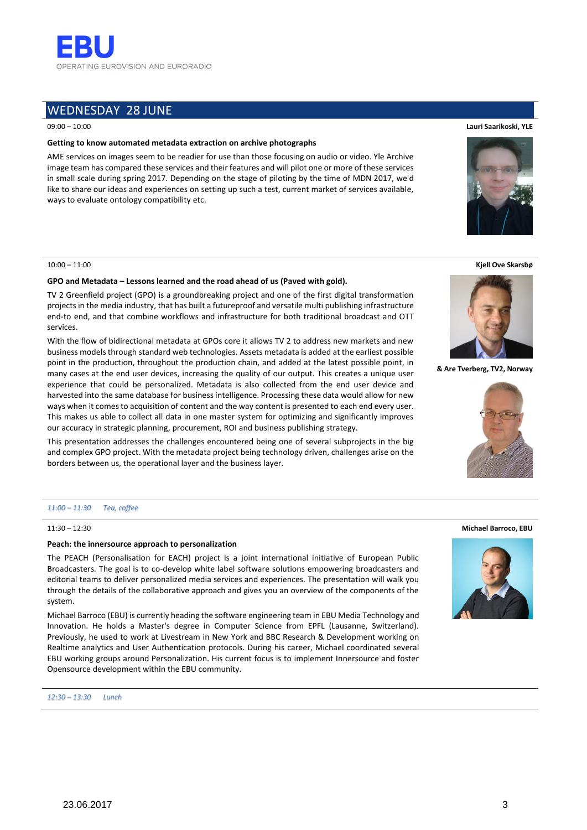

# WEDNESDAY 28 JUNE

# 09:00 – 10:00

# **Getting to know automated metadata extraction on archive photographs**

AME services on images seem to be readier for use than those focusing on audio or video. Yle Archive image team has compared these services and their features and will pilot one or more of these services in small scale during spring 2017. Depending on the stage of piloting by the time of MDN 2017, we'd like to share our ideas and experiences on setting up such a test, current market of services available, ways to evaluate ontology compatibility etc.

## 10:00 – 11:00

# **GPO and Metadata – Lessons learned and the road ahead of us (Paved with gold).**

TV 2 Greenfield project (GPO) is a groundbreaking project and one of the first digital transformation projects in the media industry, that has built a futureproof and versatile multi publishing infrastructure end-to end, and that combine workflows and infrastructure for both traditional broadcast and OTT services.

With the flow of bidirectional metadata at GPOs core it allows TV 2 to address new markets and new business models through standard web technologies. Assets metadata is added at the earliest possible point in the production, throughout the production chain, and added at the latest possible point, in many cases at the end user devices, increasing the quality of our output. This creates a unique user experience that could be personalized. Metadata is also collected from the end user device and harvested into the same database for business intelligence. Processing these data would allow for new ways when it comes to acquisition of content and the way content is presented to each end every user. This makes us able to collect all data in one master system for optimizing and significantly improves our accuracy in strategic planning, procurement, ROI and business publishing strategy.

This presentation addresses the challenges encountered being one of several subprojects in the big and complex GPO project. With the metadata project being technology driven, challenges arise on the borders between us, the operational layer and the business layer.

# *11:00 – 11:30 Tea, coffee*

11:30 – 12:30

# **Peach: the innersource approach to personalization**

The PEACH (Personalisation for EACH) project is a joint international initiative of European Public Broadcasters. The goal is to co-develop white label software solutions empowering broadcasters and editorial teams to deliver personalized media services and experiences. The presentation will walk you through the details of the collaborative approach and gives you an overview of the components of the system.

Michael Barroco (EBU) is currently heading the software engineering team in EBU Media Technology and Innovation. He holds a Master's degree in Computer Science from EPFL (Lausanne, Switzerland). Previously, he used to work at Livestream in New York and BBC Research & Development working on Realtime analytics and User Authentication protocols. During his career, Michael coordinated several EBU working groups around Personalization. His current focus is to implement Innersource and foster Opensource development within the EBU community.







**& Are Tverberg, TV2, Norway**



#### **Michael Barroco, EBU**

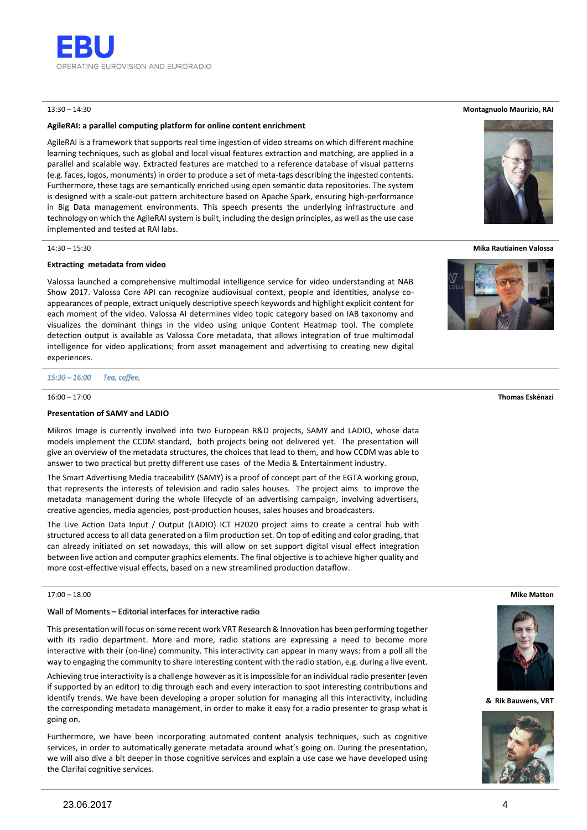

# 13:30 – 14:30

# **AgileRAI: a parallel computing platform for online content enrichment**

AgileRAI is a framework that supports real time ingestion of video streams on which different machine learning techniques, such as global and local visual features extraction and matching, are applied in a parallel and scalable way. Extracted features are matched to a reference database of visual patterns (e.g. faces, logos, monuments) in order to produce a set of meta-tags describing the ingested contents. Furthermore, these tags are semantically enriched using open semantic data repositories. The system is designed with a scale-out pattern architecture based on Apache Spark, ensuring high-performance in Big Data management environments. This speech presents the underlying infrastructure and technology on which the AgileRAI system is built, including the design principles, as well as the use case implemented and tested at RAI labs.

#### 14:30 – 15:30

# **Extracting metadata from video**

Valossa launched a comprehensive multimodal intelligence service for video understanding at NAB Show 2017. Valossa Core API can recognize audiovisual context, people and identities, analyse coappearances of people, extract uniquely descriptive speech keywords and highlight explicit content for each moment of the video. Valossa AI determines video topic category based on IAB taxonomy and visualizes the dominant things in the video using unique Content Heatmap tool. The complete detection output is available as Valossa Core metadata, that allows integration of true multimodal intelligence for video applications; from asset management and advertising to creating new digital experiences.

*15:30 – 16:00 Tea, coffee,* 

#### $16:00 - 17:00$

#### **Presentation of SAMY and LADIO**

Mikros Image is currently involved into two European R&D projects, SAMY and LADIO, whose data models implement the CCDM standard, both projects being not delivered yet. The presentation will give an overview of the metadata structures, the choices that lead to them, and how CCDM was able to answer to two practical but pretty different use cases of the Media & Entertainment industry.

The Smart Advertising Media traceabilitY (SAMY) is a proof of concept part of the EGTA working group, that represents the interests of television and radio sales houses. The project aims to improve the metadata management during the whole lifecycle of an advertising campaign, involving advertisers, creative agencies, media agencies, post-production houses, sales houses and broadcasters.

The Live Action Data Input / Output (LADIO) ICT H2020 project aims to create a central hub with structured access to all data generated on a film production set. On top of editing and color grading, that can already initiated on set nowadays, this will allow on set support digital visual effect integration between live action and computer graphics elements. The final objective is to achieve higher quality and more cost-effective visual effects, based on a new streamlined production dataflow.

# 17:00 – 18:00

# Wall of Moments – Editorial interfaces for interactive radio

This presentation will focus on some recent work VRT Research & Innovation has been performing together with its radio department. More and more, radio stations are expressing a need to become more interactive with their (on-line) community. This interactivity can appear in many ways: from a poll all the way to engaging the community to share interesting content with the radio station, e.g. during a live event.

Achieving true interactivity is a challenge however as it is impossible for an individual radio presenter (even if supported by an editor) to dig through each and every interaction to spot interesting contributions and identify trends. We have been developing a proper solution for managing all this interactivity, including the corresponding metadata management, in order to make it easy for a radio presenter to grasp what is going on.

Furthermore, we have been incorporating automated content analysis techniques, such as cognitive services, in order to automatically generate metadata around what's going on. During the presentation, we will also dive a bit deeper in those cognitive services and explain a use case we have developed using the Clarifai cognitive services.

#### **Montagnuolo Maurizio, RAI**



**Mika Rautiainen Valossa**



#### **Thomas Eskénazi**

**Mike Matton**



**& Rik Bauwens, VRT**